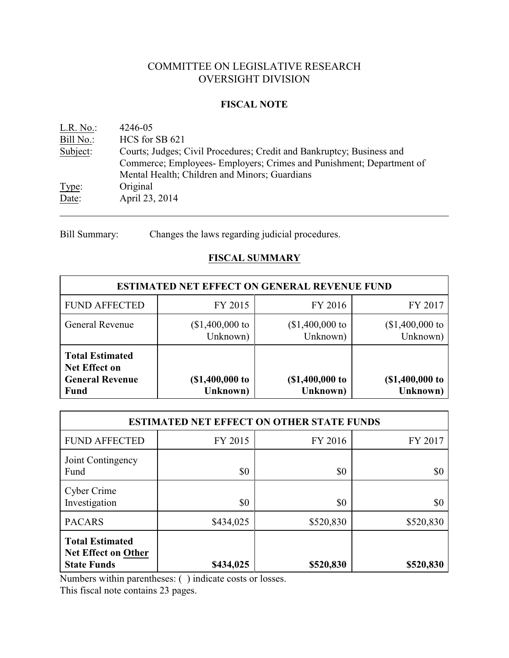# COMMITTEE ON LEGISLATIVE RESEARCH OVERSIGHT DIVISION

### **FISCAL NOTE**

| L.R. No.  | 4246-05                                                               |
|-----------|-----------------------------------------------------------------------|
| Bill No.: | HCS for SB 621                                                        |
| Subject:  | Courts; Judges; Civil Procedures; Credit and Bankruptcy; Business and |
|           | Commerce; Employees- Employers; Crimes and Punishment; Department of  |
|           | Mental Health; Children and Minors; Guardians                         |
| Type:     | Original                                                              |
| Date:     | April 23, 2014                                                        |
|           |                                                                       |

Bill Summary: Changes the laws regarding judicial procedures.

# **FISCAL SUMMARY**

| <b>ESTIMATED NET EFFECT ON GENERAL REVENUE FUND</b>                                     |                              |                              |                              |  |  |  |
|-----------------------------------------------------------------------------------------|------------------------------|------------------------------|------------------------------|--|--|--|
| <b>FUND AFFECTED</b>                                                                    | FY 2015                      | FY 2016                      | FY 2017                      |  |  |  |
| <b>General Revenue</b>                                                                  | $($1,400,000$ to<br>Unknown) | $($1,400,000$ to<br>Unknown) | $($1,400,000$ to<br>Unknown) |  |  |  |
| <b>Total Estimated</b><br><b>Net Effect on</b><br><b>General Revenue</b><br><b>Fund</b> | (\$1,400,000 to<br>Unknown)  | (\$1,400,000 to<br>Unknown)  | (\$1,400,000 to<br>Unknown)  |  |  |  |

| <b>ESTIMATED NET EFFECT ON OTHER STATE FUNDS</b>                           |           |           |           |  |  |  |
|----------------------------------------------------------------------------|-----------|-----------|-----------|--|--|--|
| <b>FUND AFFECTED</b>                                                       | FY 2015   | FY 2016   | FY 2017   |  |  |  |
| Joint Contingency<br>Fund                                                  | \$0       | \$0       | \$0       |  |  |  |
| Cyber Crime<br>Investigation                                               | \$0       | \$0       | \$0       |  |  |  |
| <b>PACARS</b>                                                              | \$434,025 | \$520,830 | \$520,830 |  |  |  |
| <b>Total Estimated</b><br><b>Net Effect on Other</b><br><b>State Funds</b> | \$434,025 | \$520,830 | \$520,830 |  |  |  |

Numbers within parentheses: ( ) indicate costs or losses.

This fiscal note contains 23 pages.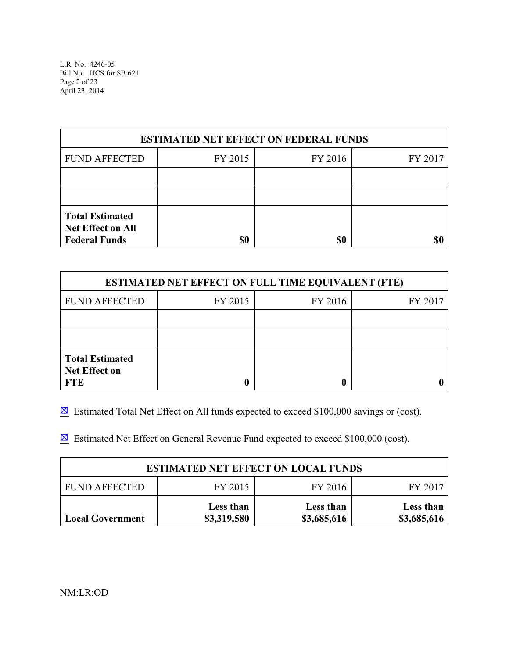L.R. No. 4246-05 Bill No. HCS for SB 621 Page 2 of 23 April 23, 2014

| <b>ESTIMATED NET EFFECT ON FEDERAL FUNDS</b>                               |     |     |  |  |  |  |
|----------------------------------------------------------------------------|-----|-----|--|--|--|--|
| <b>FUND AFFECTED</b><br>FY 2016<br>FY 2015<br>FY 2017                      |     |     |  |  |  |  |
|                                                                            |     |     |  |  |  |  |
|                                                                            |     |     |  |  |  |  |
| <b>Total Estimated</b><br><b>Net Effect on All</b><br><b>Federal Funds</b> | \$0 | \$0 |  |  |  |  |

| <b>ESTIMATED NET EFFECT ON FULL TIME EQUIVALENT (FTE)</b>    |                    |  |  |  |  |  |
|--------------------------------------------------------------|--------------------|--|--|--|--|--|
| <b>FUND AFFECTED</b>                                         | FY 2015<br>FY 2016 |  |  |  |  |  |
|                                                              |                    |  |  |  |  |  |
|                                                              |                    |  |  |  |  |  |
| <b>Total Estimated</b><br><b>Net Effect on</b><br><b>FTE</b> |                    |  |  |  |  |  |

 $\boxtimes$  Estimated Total Net Effect on All funds expected to exceed \$100,000 savings or (cost).

 $\boxtimes$  Estimated Net Effect on General Revenue Fund expected to exceed \$100,000 (cost).

| <b>ESTIMATED NET EFFECT ON LOCAL FUNDS</b> |                          |                          |                          |  |  |  |
|--------------------------------------------|--------------------------|--------------------------|--------------------------|--|--|--|
| FY 2015<br>FY 2016<br><b>FUND AFFECTED</b> |                          |                          |                          |  |  |  |
| <b>Local Government</b>                    | Less than<br>\$3,319,580 | Less than<br>\$3,685,616 | Less than<br>\$3,685,616 |  |  |  |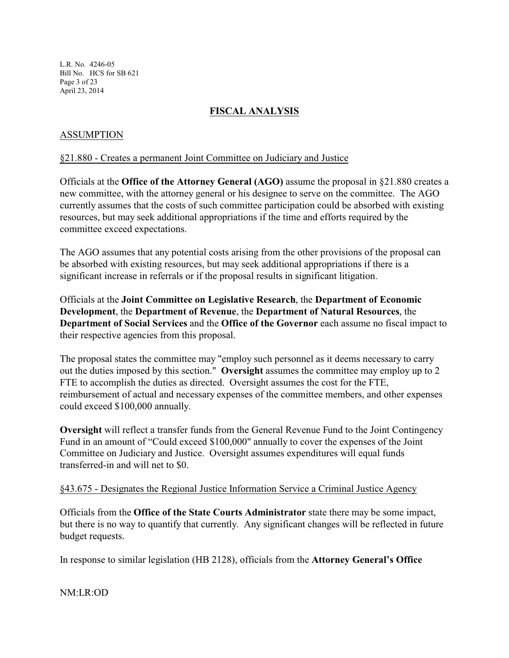L.R. No. 4246-05 Bill No. HCS for SB 621 Page 3 of 23 April 23, 2014

# **FISCAL ANALYSIS**

# ASSUMPTION

### §21.880 - Creates a permanent Joint Committee on Judiciary and Justice

Officials at the **Office of the Attorney General (AGO)** assume the proposal in §21.880 creates a new committee, with the attorney general or his designee to serve on the committee. The AGO currently assumes that the costs of such committee participation could be absorbed with existing resources, but may seek additional appropriations if the time and efforts required by the committee exceed expectations.

The AGO assumes that any potential costs arising from the other provisions of the proposal can be absorbed with existing resources, but may seek additional appropriations if there is a significant increase in referrals or if the proposal results in significant litigation.

Officials at the **Joint Committee on Legislative Research**, the **Department of Economic Development**, the **Department of Revenue**, the **Department of Natural Resources**, the **Department of Social Services** and the **Office of the Governor** each assume no fiscal impact to their respective agencies from this proposal.

The proposal states the committee may "employ such personnel as it deems necessary to carry out the duties imposed by this section." **Oversight** assumes the committee may employ up to 2 FTE to accomplish the duties as directed. Oversight assumes the cost for the FTE, reimbursement of actual and necessary expenses of the committee members, and other expenses could exceed \$100,000 annually.

**Oversight** will reflect a transfer funds from the General Revenue Fund to the Joint Contingency Fund in an amount of "Could exceed \$100,000" annually to cover the expenses of the Joint Committee on Judiciary and Justice. Oversight assumes expenditures will equal funds transferred-in and will net to \$0.

#### §43.675 - Designates the Regional Justice Information Service a Criminal Justice Agency

Officials from the **Office of the State Courts Administrator** state there may be some impact, but there is no way to quantify that currently. Any significant changes will be reflected in future budget requests.

In response to similar legislation (HB 2128), officials from the **Attorney General's Office**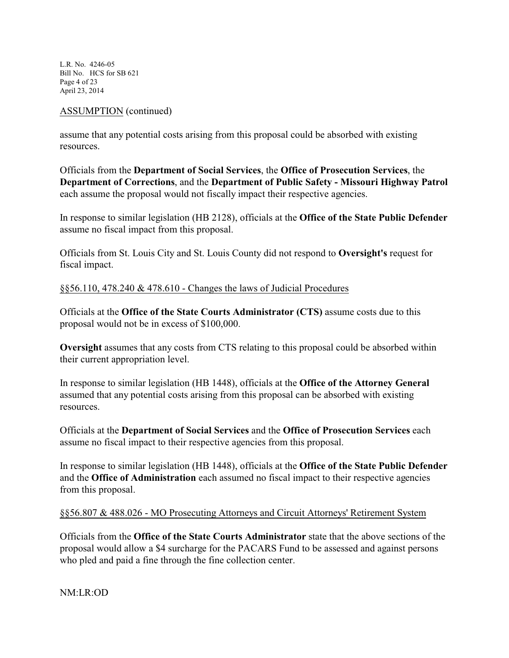L.R. No. 4246-05 Bill No. HCS for SB 621 Page 4 of 23 April 23, 2014

### ASSUMPTION (continued)

assume that any potential costs arising from this proposal could be absorbed with existing resources.

Officials from the **Department of Social Services**, the **Office of Prosecution Services**, the **Department of Corrections**, and the **Department of Public Safety - Missouri Highway Patrol** each assume the proposal would not fiscally impact their respective agencies.

In response to similar legislation (HB 2128), officials at the **Office of the State Public Defender** assume no fiscal impact from this proposal.

Officials from St. Louis City and St. Louis County did not respond to **Oversight's** request for fiscal impact.

### §§56.110, 478.240 & 478.610 - Changes the laws of Judicial Procedures

Officials at the **Office of the State Courts Administrator (CTS)** assume costs due to this proposal would not be in excess of \$100,000.

**Oversight** assumes that any costs from CTS relating to this proposal could be absorbed within their current appropriation level.

In response to similar legislation (HB 1448), officials at the **Office of the Attorney General** assumed that any potential costs arising from this proposal can be absorbed with existing resources.

Officials at the **Department of Social Services** and the **Office of Prosecution Services** each assume no fiscal impact to their respective agencies from this proposal.

In response to similar legislation (HB 1448), officials at the **Office of the State Public Defender** and the **Office of Administration** each assumed no fiscal impact to their respective agencies from this proposal.

# §§56.807 & 488.026 - MO Prosecuting Attorneys and Circuit Attorneys' Retirement System

Officials from the **Office of the State Courts Administrator** state that the above sections of the proposal would allow a \$4 surcharge for the PACARS Fund to be assessed and against persons who pled and paid a fine through the fine collection center.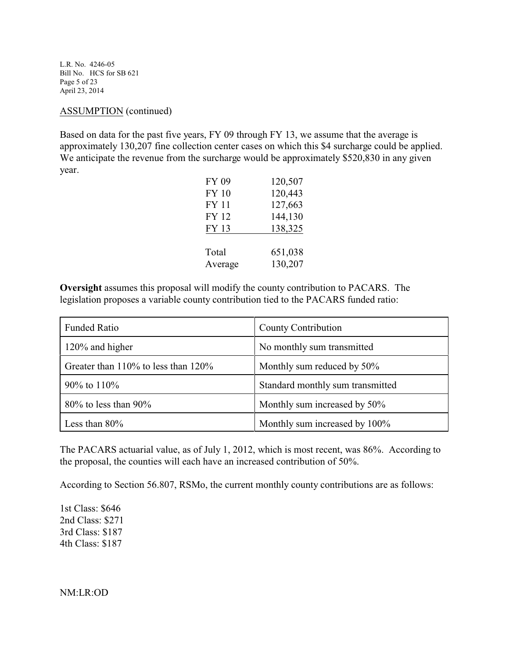L.R. No. 4246-05 Bill No. HCS for SB 621 Page 5 of 23 April 23, 2014

#### ASSUMPTION (continued)

Based on data for the past five years, FY 09 through FY 13, we assume that the average is approximately 130,207 fine collection center cases on which this \$4 surcharge could be applied. We anticipate the revenue from the surcharge would be approximately \$520,830 in any given year.

| FY 09        | 120,507 |
|--------------|---------|
| <b>FY 10</b> | 120,443 |
| <b>FY 11</b> | 127,663 |
| FY 12        | 144,130 |
| FY 13        | 138,325 |
|              |         |
| Total        | 651,038 |
| Average      | 130,207 |

**Oversight** assumes this proposal will modify the county contribution to PACARS. The legislation proposes a variable county contribution tied to the PACARS funded ratio:

| <b>Funded Ratio</b>                       | County Contribution              |  |
|-------------------------------------------|----------------------------------|--|
| 120% and higher                           | No monthly sum transmitted       |  |
| Greater than $110\%$ to less than $120\%$ | Monthly sum reduced by 50%       |  |
| 90% to 110%                               | Standard monthly sum transmitted |  |
| $80\%$ to less than $90\%$                | Monthly sum increased by 50%     |  |
| Less than $80\%$                          | Monthly sum increased by 100%    |  |

The PACARS actuarial value, as of July 1, 2012, which is most recent, was 86%. According to the proposal, the counties will each have an increased contribution of 50%.

According to Section 56.807, RSMo, the current monthly county contributions are as follows:

1st Class: \$646 2nd Class: \$271 3rd Class: \$187 4th Class: \$187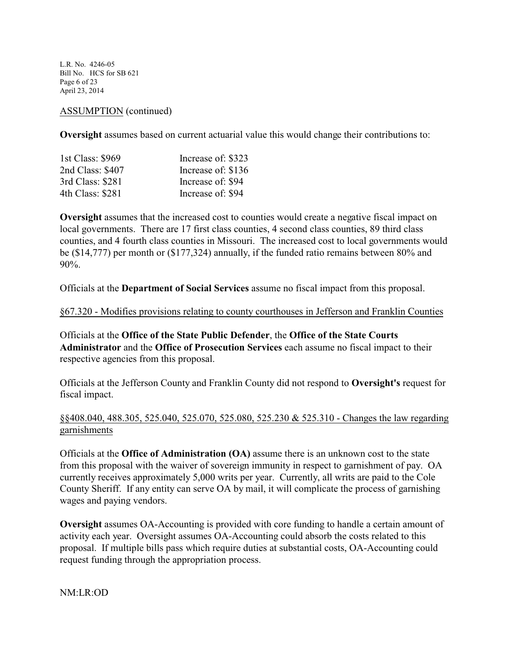L.R. No. 4246-05 Bill No. HCS for SB 621 Page 6 of 23 April 23, 2014

#### ASSUMPTION (continued)

**Oversight** assumes based on current actuarial value this would change their contributions to:

| 1st Class: \$969 | Increase of: \$323 |
|------------------|--------------------|
| 2nd Class: \$407 | Increase of: \$136 |
| 3rd Class: \$281 | Increase of: \$94  |
| 4th Class: \$281 | Increase of: \$94  |

**Oversight** assumes that the increased cost to counties would create a negative fiscal impact on local governments. There are 17 first class counties, 4 second class counties, 89 third class counties, and 4 fourth class counties in Missouri. The increased cost to local governments would be (\$14,777) per month or (\$177,324) annually, if the funded ratio remains between 80% and 90%.

Officials at the **Department of Social Services** assume no fiscal impact from this proposal.

§67.320 - Modifies provisions relating to county courthouses in Jefferson and Franklin Counties

Officials at the **Office of the State Public Defender**, the **Office of the State Courts Administrator** and the **Office of Prosecution Services** each assume no fiscal impact to their respective agencies from this proposal.

Officials at the Jefferson County and Franklin County did not respond to **Oversight's** request for fiscal impact.

### §§408.040, 488.305, 525.040, 525.070, 525.080, 525.230 & 525.310 - Changes the law regarding garnishments

Officials at the **Office of Administration (OA)** assume there is an unknown cost to the state from this proposal with the waiver of sovereign immunity in respect to garnishment of pay. OA currently receives approximately 5,000 writs per year. Currently, all writs are paid to the Cole County Sheriff. If any entity can serve OA by mail, it will complicate the process of garnishing wages and paying vendors.

**Oversight** assumes OA-Accounting is provided with core funding to handle a certain amount of activity each year. Oversight assumes OA-Accounting could absorb the costs related to this proposal. If multiple bills pass which require duties at substantial costs, OA-Accounting could request funding through the appropriation process.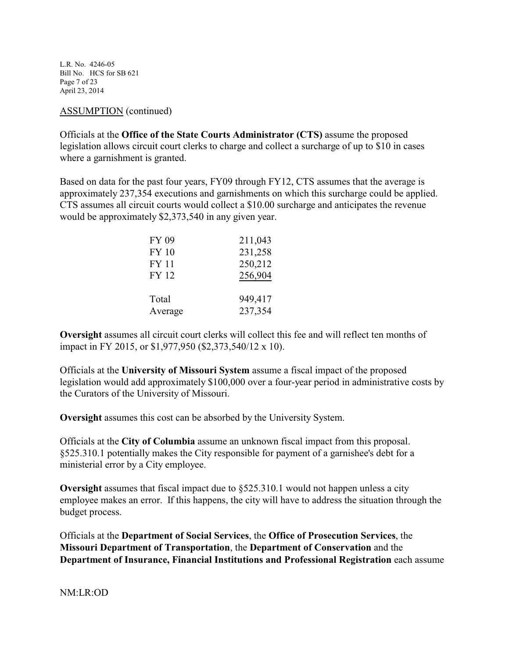L.R. No. 4246-05 Bill No. HCS for SB 621 Page 7 of 23 April 23, 2014

#### ASSUMPTION (continued)

Officials at the **Office of the State Courts Administrator (CTS)** assume the proposed legislation allows circuit court clerks to charge and collect a surcharge of up to \$10 in cases where a garnishment is granted.

Based on data for the past four years, FY09 through FY12, CTS assumes that the average is approximately 237,354 executions and garnishments on which this surcharge could be applied. CTS assumes all circuit courts would collect a \$10.00 surcharge and anticipates the revenue would be approximately \$2,373,540 in any given year.

| 211,043 |
|---------|
| 231,258 |
| 250,212 |
| 256,904 |
|         |
| 949,417 |
| 237,354 |
|         |

**Oversight** assumes all circuit court clerks will collect this fee and will reflect ten months of impact in FY 2015, or \$1,977,950 (\$2,373,540/12 x 10).

Officials at the **University of Missouri System** assume a fiscal impact of the proposed legislation would add approximately \$100,000 over a four-year period in administrative costs by the Curators of the University of Missouri.

**Oversight** assumes this cost can be absorbed by the University System.

Officials at the **City of Columbia** assume an unknown fiscal impact from this proposal. §525.310.1 potentially makes the City responsible for payment of a garnishee's debt for a ministerial error by a City employee.

**Oversight** assumes that fiscal impact due to §525.310.1 would not happen unless a city employee makes an error. If this happens, the city will have to address the situation through the budget process.

Officials at the **Department of Social Services**, the **Office of Prosecution Services**, the **Missouri Department of Transportation**, the **Department of Conservation** and the **Department of Insurance, Financial Institutions and Professional Registration** each assume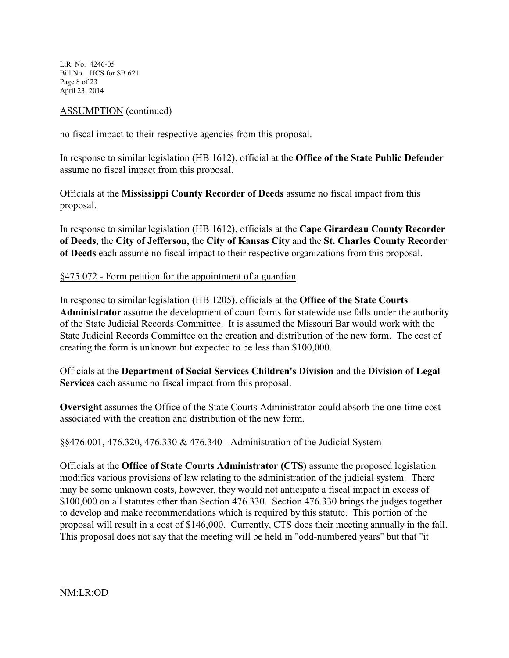L.R. No. 4246-05 Bill No. HCS for SB 621 Page 8 of 23 April 23, 2014

### ASSUMPTION (continued)

no fiscal impact to their respective agencies from this proposal.

In response to similar legislation (HB 1612), official at the **Office of the State Public Defender** assume no fiscal impact from this proposal.

Officials at the **Mississippi County Recorder of Deeds** assume no fiscal impact from this proposal.

In response to similar legislation (HB 1612), officials at the **Cape Girardeau County Recorder of Deeds**, the **City of Jefferson**, the **City of Kansas City** and the **St. Charles County Recorder of Deeds** each assume no fiscal impact to their respective organizations from this proposal.

### §475.072 - Form petition for the appointment of a guardian

In response to similar legislation (HB 1205), officials at the **Office of the State Courts Administrator** assume the development of court forms for statewide use falls under the authority of the State Judicial Records Committee. It is assumed the Missouri Bar would work with the State Judicial Records Committee on the creation and distribution of the new form. The cost of creating the form is unknown but expected to be less than \$100,000.

Officials at the **Department of Social Services Children's Division** and the **Division of Legal Services** each assume no fiscal impact from this proposal.

**Oversight** assumes the Office of the State Courts Administrator could absorb the one-time cost associated with the creation and distribution of the new form.

# §§476.001, 476.320, 476.330 & 476.340 - Administration of the Judicial System

Officials at the **Office of State Courts Administrator (CTS)** assume the proposed legislation modifies various provisions of law relating to the administration of the judicial system. There may be some unknown costs, however, they would not anticipate a fiscal impact in excess of \$100,000 on all statutes other than Section 476.330. Section 476.330 brings the judges together to develop and make recommendations which is required by this statute. This portion of the proposal will result in a cost of \$146,000. Currently, CTS does their meeting annually in the fall. This proposal does not say that the meeting will be held in "odd-numbered years" but that "it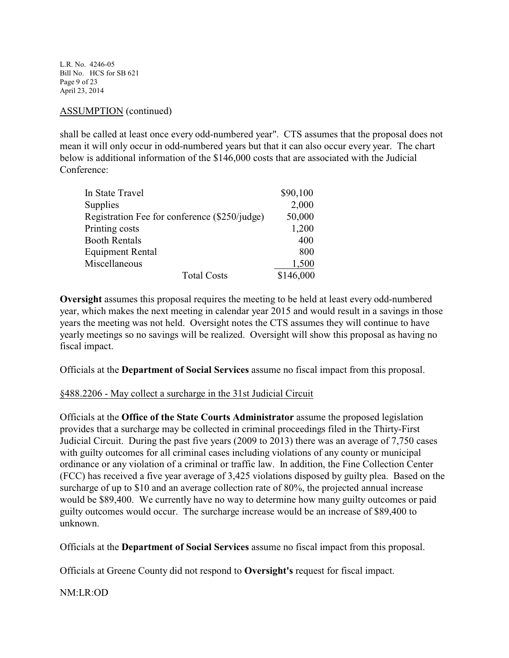L.R. No. 4246-05 Bill No. HCS for SB 621 Page 9 of 23 April 23, 2014

#### ASSUMPTION (continued)

shall be called at least once every odd-numbered year". CTS assumes that the proposal does not mean it will only occur in odd-numbered years but that it can also occur every year. The chart below is additional information of the \$146,000 costs that are associated with the Judicial Conference:

| In State Travel                               | \$90,100  |
|-----------------------------------------------|-----------|
| Supplies                                      | 2,000     |
| Registration Fee for conference (\$250/judge) | 50,000    |
| Printing costs                                | 1,200     |
| <b>Booth Rentals</b>                          | 400       |
| <b>Equipment Rental</b>                       | 800       |
| Miscellaneous                                 | 1,500     |
| <b>Total Costs</b>                            | \$146,000 |

**Oversight** assumes this proposal requires the meeting to be held at least every odd-numbered year, which makes the next meeting in calendar year 2015 and would result in a savings in those years the meeting was not held. Oversight notes the CTS assumes they will continue to have yearly meetings so no savings will be realized. Oversight will show this proposal as having no fiscal impact.

Officials at the **Department of Social Services** assume no fiscal impact from this proposal.

#### §488.2206 - May collect a surcharge in the 31st Judicial Circuit

Officials at the **Office of the State Courts Administrator** assume the proposed legislation provides that a surcharge may be collected in criminal proceedings filed in the Thirty-First Judicial Circuit. During the past five years (2009 to 2013) there was an average of 7,750 cases with guilty outcomes for all criminal cases including violations of any county or municipal ordinance or any violation of a criminal or traffic law. In addition, the Fine Collection Center (FCC) has received a five year average of 3,425 violations disposed by guilty plea. Based on the surcharge of up to \$10 and an average collection rate of 80%, the projected annual increase would be \$89,400. We currently have no way to determine how many guilty outcomes or paid guilty outcomes would occur. The surcharge increase would be an increase of \$89,400 to unknown.

Officials at the **Department of Social Services** assume no fiscal impact from this proposal.

Officials at Greene County did not respond to **Oversight's** request for fiscal impact.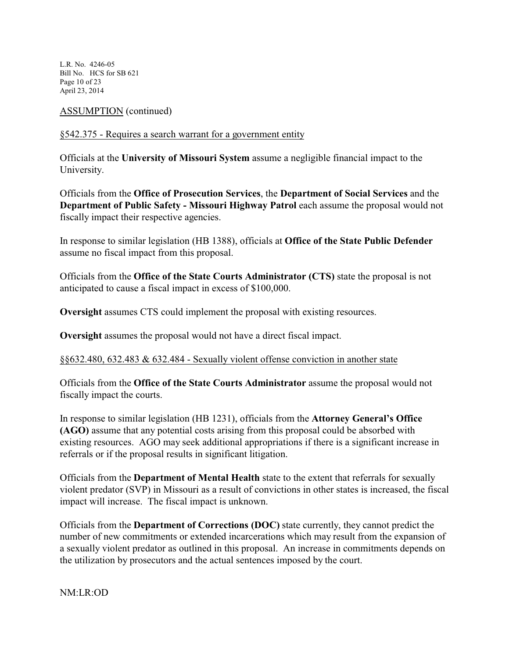L.R. No. 4246-05 Bill No. HCS for SB 621 Page 10 of 23 April 23, 2014

ASSUMPTION (continued)

# §542.375 - Requires a search warrant for a government entity

Officials at the **University of Missouri System** assume a negligible financial impact to the University.

Officials from the **Office of Prosecution Services**, the **Department of Social Services** and the **Department of Public Safety - Missouri Highway Patrol** each assume the proposal would not fiscally impact their respective agencies.

In response to similar legislation (HB 1388), officials at **Office of the State Public Defender** assume no fiscal impact from this proposal.

Officials from the **Office of the State Courts Administrator (CTS)** state the proposal is not anticipated to cause a fiscal impact in excess of \$100,000.

**Oversight** assumes CTS could implement the proposal with existing resources.

**Oversight** assumes the proposal would not have a direct fiscal impact.

# §§632.480, 632.483 & 632.484 - Sexually violent offense conviction in another state

Officials from the **Office of the State Courts Administrator** assume the proposal would not fiscally impact the courts.

In response to similar legislation (HB 1231), officials from the **Attorney General's Office (AGO)** assume that any potential costs arising from this proposal could be absorbed with existing resources. AGO may seek additional appropriations if there is a significant increase in referrals or if the proposal results in significant litigation.

Officials from the **Department of Mental Health** state to the extent that referrals for sexually violent predator (SVP) in Missouri as a result of convictions in other states is increased, the fiscal impact will increase. The fiscal impact is unknown.

Officials from the **Department of Corrections (DOC)** state currently, they cannot predict the number of new commitments or extended incarcerations which may result from the expansion of a sexually violent predator as outlined in this proposal. An increase in commitments depends on the utilization by prosecutors and the actual sentences imposed by the court.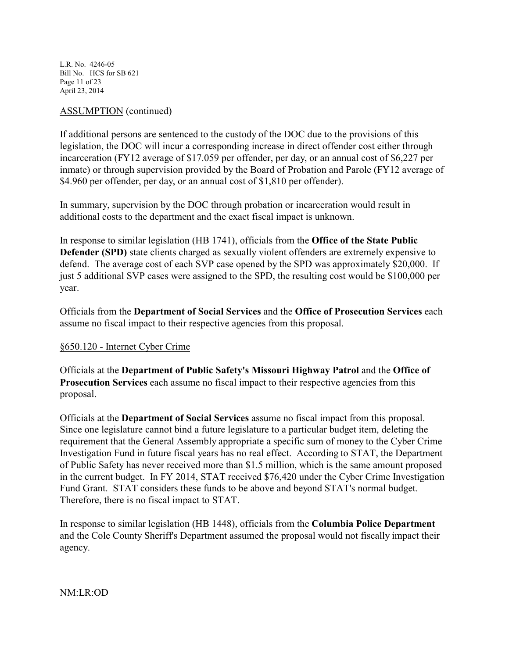L.R. No. 4246-05 Bill No. HCS for SB 621 Page 11 of 23 April 23, 2014

### ASSUMPTION (continued)

If additional persons are sentenced to the custody of the DOC due to the provisions of this legislation, the DOC will incur a corresponding increase in direct offender cost either through incarceration (FY12 average of \$17.059 per offender, per day, or an annual cost of \$6,227 per inmate) or through supervision provided by the Board of Probation and Parole (FY12 average of \$4.960 per offender, per day, or an annual cost of \$1,810 per offender).

In summary, supervision by the DOC through probation or incarceration would result in additional costs to the department and the exact fiscal impact is unknown.

In response to similar legislation (HB 1741), officials from the **Office of the State Public Defender (SPD)** state clients charged as sexually violent offenders are extremely expensive to defend. The average cost of each SVP case opened by the SPD was approximately \$20,000. If just 5 additional SVP cases were assigned to the SPD, the resulting cost would be \$100,000 per year.

Officials from the **Department of Social Services** and the **Office of Prosecution Services** each assume no fiscal impact to their respective agencies from this proposal.

# §650.120 - Internet Cyber Crime

Officials at the **Department of Public Safety's Missouri Highway Patrol** and the **Office of Prosecution Services** each assume no fiscal impact to their respective agencies from this proposal.

Officials at the **Department of Social Services** assume no fiscal impact from this proposal. Since one legislature cannot bind a future legislature to a particular budget item, deleting the requirement that the General Assembly appropriate a specific sum of money to the Cyber Crime Investigation Fund in future fiscal years has no real effect. According to STAT, the Department of Public Safety has never received more than \$1.5 million, which is the same amount proposed in the current budget. In FY 2014, STAT received \$76,420 under the Cyber Crime Investigation Fund Grant. STAT considers these funds to be above and beyond STAT's normal budget. Therefore, there is no fiscal impact to STAT.

In response to similar legislation (HB 1448), officials from the **Columbia Police Department** and the Cole County Sheriff's Department assumed the proposal would not fiscally impact their agency.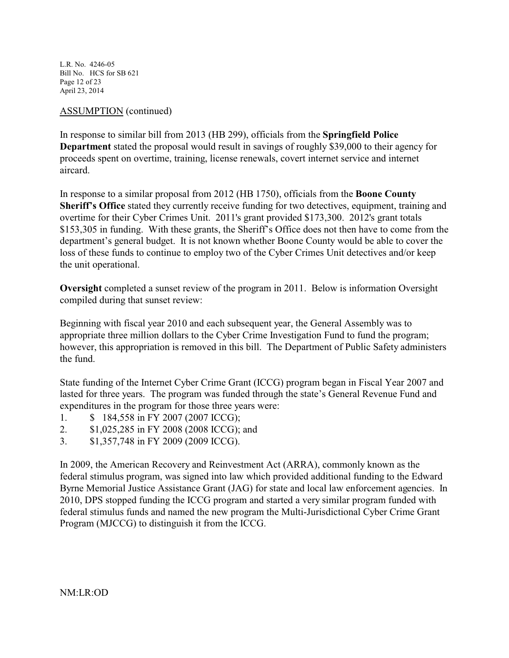L.R. No. 4246-05 Bill No. HCS for SB 621 Page 12 of 23 April 23, 2014

### ASSUMPTION (continued)

In response to similar bill from 2013 (HB 299), officials from the **Springfield Police Department** stated the proposal would result in savings of roughly \$39,000 to their agency for proceeds spent on overtime, training, license renewals, covert internet service and internet aircard.

In response to a similar proposal from 2012 (HB 1750), officials from the **Boone County Sheriff's Office** stated they currently receive funding for two detectives, equipment, training and overtime for their Cyber Crimes Unit. 2011's grant provided \$173,300. 2012's grant totals \$153,305 in funding. With these grants, the Sheriff's Office does not then have to come from the department's general budget. It is not known whether Boone County would be able to cover the loss of these funds to continue to employ two of the Cyber Crimes Unit detectives and/or keep the unit operational.

**Oversight** completed a sunset review of the program in 2011. Below is information Oversight compiled during that sunset review:

Beginning with fiscal year 2010 and each subsequent year, the General Assembly was to appropriate three million dollars to the Cyber Crime Investigation Fund to fund the program; however, this appropriation is removed in this bill. The Department of Public Safety administers the fund.

State funding of the Internet Cyber Crime Grant (ICCG) program began in Fiscal Year 2007 and lasted for three years. The program was funded through the state's General Revenue Fund and expenditures in the program for those three years were:

- 1. \$ 184,558 in FY 2007 (2007 ICCG);
- 2. \$1,025,285 in FY 2008 (2008 ICCG); and
- 3. \$1,357,748 in FY 2009 (2009 ICCG).

In 2009, the American Recovery and Reinvestment Act (ARRA), commonly known as the federal stimulus program, was signed into law which provided additional funding to the Edward Byrne Memorial Justice Assistance Grant (JAG) for state and local law enforcement agencies. In 2010, DPS stopped funding the ICCG program and started a very similar program funded with federal stimulus funds and named the new program the Multi-Jurisdictional Cyber Crime Grant Program (MJCCG) to distinguish it from the ICCG.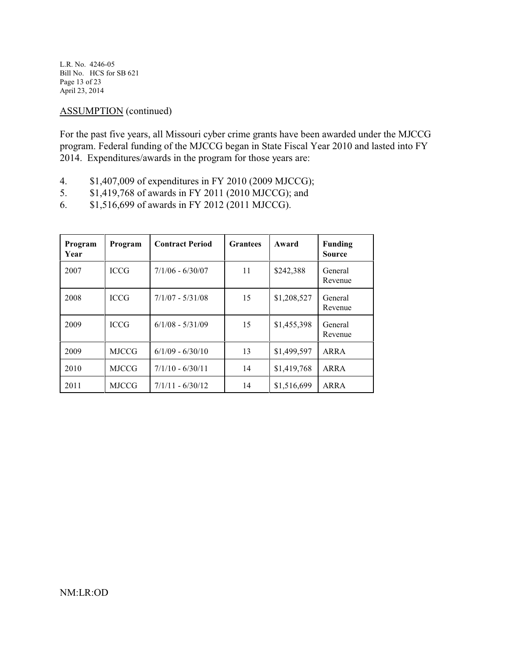L.R. No. 4246-05 Bill No. HCS for SB 621 Page 13 of 23 April 23, 2014

ASSUMPTION (continued)

For the past five years, all Missouri cyber crime grants have been awarded under the MJCCG program. Federal funding of the MJCCG began in State Fiscal Year 2010 and lasted into FY 2014. Expenditures/awards in the program for those years are:

- 4. \$1,407,009 of expenditures in FY 2010 (2009 MJCCG);<br>5. \$1,419,768 of awards in FY 2011 (2010 MJCCG): and
- 5. \$1,419,768 of awards in FY 2011 (2010 MJCCG); and
- 6. \$1,516,699 of awards in FY 2012 (2011 MJCCG).

| Program<br>Year | Program      | <b>Contract Period</b> | <b>Grantees</b> | Award       | <b>Funding</b><br><b>Source</b> |
|-----------------|--------------|------------------------|-----------------|-------------|---------------------------------|
| 2007            | <b>ICCG</b>  | $7/1/06 - 6/30/07$     | 11              | \$242,388   | General<br>Revenue              |
| 2008            | <b>ICCG</b>  | $7/1/07 - 5/31/08$     | 15              | \$1,208,527 | General<br>Revenue              |
| 2009            | <b>ICCG</b>  | $6/1/08 - 5/31/09$     | 15              | \$1,455,398 | General<br>Revenue              |
| 2009            | <b>MJCCG</b> | $6/1/09 - 6/30/10$     | 13              | \$1,499,597 | ARRA                            |
| 2010            | <b>MJCCG</b> | $7/1/10 - 6/30/11$     | 14              | \$1,419,768 | ARRA                            |
| 2011            | <b>MJCCG</b> | $7/1/11 - 6/30/12$     | 14              | \$1,516,699 | ARRA                            |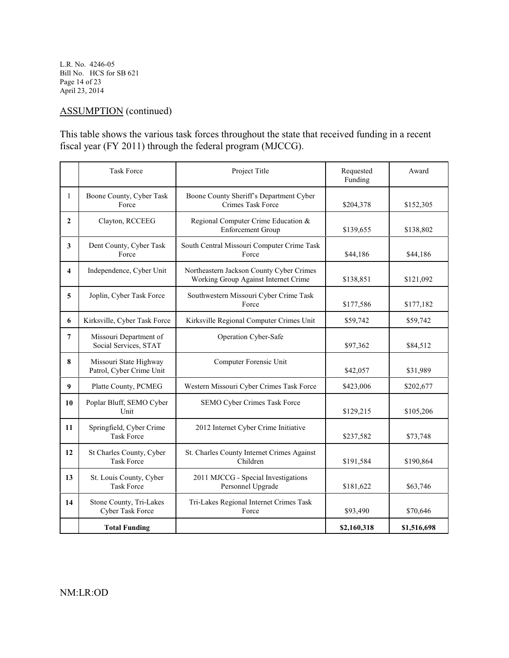L.R. No. 4246-05 Bill No. HCS for SB 621 Page 14 of 23 April 23, 2014

# ASSUMPTION (continued)

This table shows the various task forces throughout the state that received funding in a recent fiscal year (FY 2011) through the federal program (MJCCG).

|                  | <b>Task Force</b>                                  | Project Title                                                                    | Requested<br>Funding | Award       |
|------------------|----------------------------------------------------|----------------------------------------------------------------------------------|----------------------|-------------|
| $\mathbf{1}$     | Boone County, Cyber Task<br>Force                  | Boone County Sheriff's Department Cyber<br>Crimes Task Force                     | \$204,378            | \$152,305   |
| $\overline{2}$   | Clayton, RCCEEG                                    | Regional Computer Crime Education &<br><b>Enforcement Group</b>                  | \$139,655            | \$138,802   |
| 3                | Dent County, Cyber Task<br>Force                   | South Central Missouri Computer Crime Task<br>Force                              | \$44,186             | \$44,186    |
| 4                | Independence, Cyber Unit                           | Northeastern Jackson County Cyber Crimes<br>Working Group Against Internet Crime | \$138,851            | \$121,092   |
| 5                | Joplin, Cyber Task Force                           | Southwestern Missouri Cyber Crime Task<br>Force                                  | \$177,586            | \$177,182   |
| 6                | Kirksville, Cyber Task Force                       | Kirksville Regional Computer Crimes Unit                                         | \$59,742             | \$59,742    |
| $\overline{7}$   | Missouri Department of<br>Social Services, STAT    | Operation Cyber-Safe                                                             | \$97,362             | \$84,512    |
| 8                | Missouri State Highway<br>Patrol, Cyber Crime Unit | Computer Forensic Unit                                                           | \$42,057             | \$31,989    |
| $\boldsymbol{9}$ | Platte County, PCMEG                               | Western Missouri Cyber Crimes Task Force                                         | \$423,006            | \$202,677   |
| 10               | Poplar Bluff, SEMO Cyber<br>Unit                   | SEMO Cyber Crimes Task Force                                                     | \$129,215            | \$105,206   |
| 11               | Springfield, Cyber Crime<br><b>Task Force</b>      | 2012 Internet Cyber Crime Initiative                                             | \$237,582            | \$73,748    |
| 12               | St Charles County, Cyber<br><b>Task Force</b>      | St. Charles County Internet Crimes Against<br>Children                           | \$191,584            | \$190,864   |
| 13               | St. Louis County, Cyber<br><b>Task Force</b>       | 2011 MJCCG - Special Investigations<br>Personnel Upgrade                         | \$181,622            | \$63,746    |
| 14               | Stone County, Tri-Lakes<br>Cyber Task Force        | Tri-Lakes Regional Internet Crimes Task<br>Force                                 | \$93,490             | \$70,646    |
|                  | <b>Total Funding</b>                               |                                                                                  | \$2,160,318          | \$1,516,698 |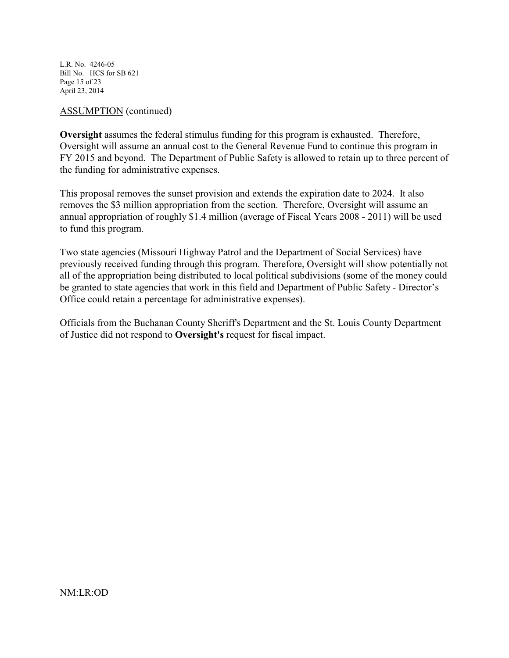L.R. No. 4246-05 Bill No. HCS for SB 621 Page 15 of 23 April 23, 2014

#### ASSUMPTION (continued)

**Oversight** assumes the federal stimulus funding for this program is exhausted. Therefore, Oversight will assume an annual cost to the General Revenue Fund to continue this program in FY 2015 and beyond. The Department of Public Safety is allowed to retain up to three percent of the funding for administrative expenses.

This proposal removes the sunset provision and extends the expiration date to 2024. It also removes the \$3 million appropriation from the section. Therefore, Oversight will assume an annual appropriation of roughly \$1.4 million (average of Fiscal Years 2008 - 2011) will be used to fund this program.

Two state agencies (Missouri Highway Patrol and the Department of Social Services) have previously received funding through this program. Therefore, Oversight will show potentially not all of the appropriation being distributed to local political subdivisions (some of the money could be granted to state agencies that work in this field and Department of Public Safety - Director's Office could retain a percentage for administrative expenses).

Officials from the Buchanan County Sheriff's Department and the St. Louis County Department of Justice did not respond to **Oversight's** request for fiscal impact.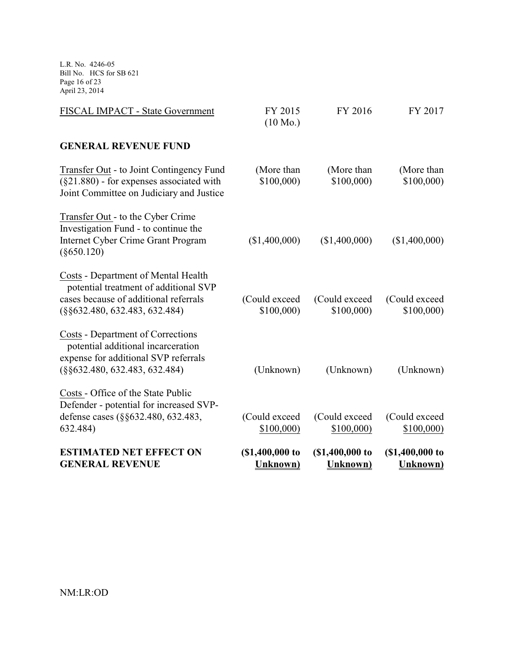L.R. No. 4246-05 Bill No. HCS for SB 621 Page 16 of 23 April 23, 2014

| <b>ESTIMATED NET EFFECT ON</b><br><b>GENERAL REVENUE</b>                                                                                                           | (\$1,400,000 to<br>Unknown)   | (\$1,400,000 to<br>Unknown) | (\$1,400,000 to<br><b>Unknown</b> ) |
|--------------------------------------------------------------------------------------------------------------------------------------------------------------------|-------------------------------|-----------------------------|-------------------------------------|
| Costs - Office of the State Public<br>Defender - potential for increased SVP-<br>defense cases (§§632.480, 632.483,<br>632.484)                                    | (Could exceed<br>\$100,000    | (Could exceed<br>\$100,000  | (Could exceed)<br>\$100,000         |
| Costs - Department of Corrections<br>potential additional incarceration<br>expense for additional SVP referrals<br>$(\S\S 632.480, 632.483, 632.484)$              | (Unknown)                     | (Unknown)                   | (Unknown)                           |
| <b>Costs - Department of Mental Health</b><br>potential treatment of additional SVP<br>cases because of additional referrals<br>$(\S\S 632.480, 632.483, 632.484)$ | (Could exceed<br>\$100,000    | (Could exceed<br>\$100,000  | (Could exceed<br>\$100,000          |
| Transfer Out - to the Cyber Crime<br>Investigation Fund - to continue the<br>Internet Cyber Crime Grant Program<br>$(\$650.120)$                                   | (\$1,400,000)                 | (\$1,400,000)               | (\$1,400,000)                       |
| Transfer Out - to Joint Contingency Fund<br>$(\S21.880)$ - for expenses associated with<br>Joint Committee on Judiciary and Justice                                | (More than<br>\$100,000       | (More than<br>\$100,000     | (More than<br>\$100,000             |
| <b>GENERAL REVENUE FUND</b>                                                                                                                                        |                               |                             |                                     |
| FISCAL IMPACT - State Government                                                                                                                                   | FY 2015<br>$(10 \text{ Mo.})$ | FY 2016                     | FY 2017                             |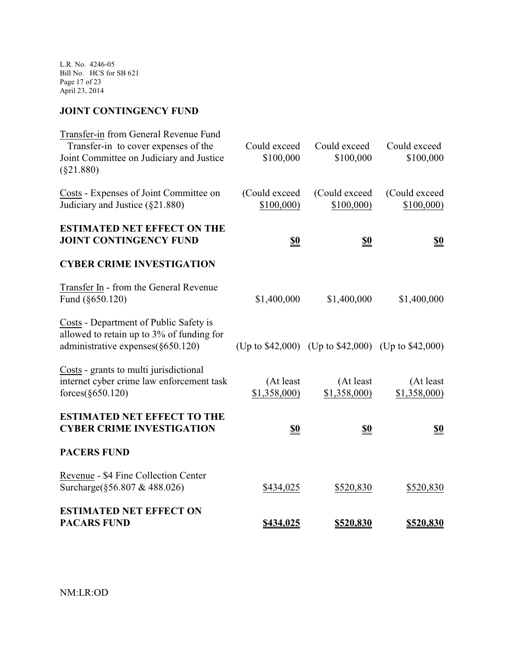L.R. No. 4246-05 Bill No. HCS for SB 621 Page 17 of 23 April 23, 2014

# **JOINT CONTINGENCY FUND**

| Transfer-in from General Revenue Fund                                               |                           |                                                          |                           |
|-------------------------------------------------------------------------------------|---------------------------|----------------------------------------------------------|---------------------------|
| Transfer-in to cover expenses of the<br>Joint Committee on Judiciary and Justice    | Could exceed<br>\$100,000 | Could exceed<br>\$100,000                                | Could exceed<br>\$100,000 |
| $(\$21.880)$                                                                        |                           |                                                          |                           |
| Costs - Expenses of Joint Committee on                                              | (Could exceed             | (Could exceed                                            | (Could exceed             |
| Judiciary and Justice (§21.880)                                                     | \$100,000)                | \$100,000)                                               | \$100,000                 |
| <b>ESTIMATED NET EFFECT ON THE</b>                                                  |                           |                                                          |                           |
| <b>JOINT CONTINGENCY FUND</b>                                                       | <u>\$0</u>                | <u>\$0</u>                                               | <u>\$0</u>                |
| <b>CYBER CRIME INVESTIGATION</b>                                                    |                           |                                                          |                           |
| Transfer In - from the General Revenue                                              |                           |                                                          |                           |
| Fund (§650.120)                                                                     | \$1,400,000               | \$1,400,000                                              | \$1,400,000               |
| Costs - Department of Public Safety is                                              |                           |                                                          |                           |
| allowed to retain up to 3% of funding for<br>administrative expenses $(\S 650.120)$ |                           | (Up to $$42,000$ ) (Up to $$42,000$ ) (Up to $$42,000$ ) |                           |
|                                                                                     |                           |                                                          |                           |
| Costs - grants to multi jurisdictional<br>internet cyber crime law enforcement task | (At least                 | (At least                                                | (At least)                |
| forces $(\S650.120)$                                                                | \$1,358,000               | \$1,358,000)                                             | \$1,358,000)              |
| <b>ESTIMATED NET EFFECT TO THE</b>                                                  |                           |                                                          |                           |
| <b>CYBER CRIME INVESTIGATION</b>                                                    | <u>\$0</u>                | <u>\$0</u>                                               | <u>\$0</u>                |
| <b>PACERS FUND</b>                                                                  |                           |                                                          |                           |
| Revenue - \$4 Fine Collection Center                                                |                           |                                                          |                           |
| Surcharge(§56.807 & 488.026)                                                        | \$434,025                 | \$520,830                                                | \$520,830                 |
| <b>ESTIMATED NET EFFECT ON</b>                                                      |                           |                                                          |                           |
| <b>PACARS FUND</b>                                                                  | \$434,025                 | \$520,830                                                | \$520,830                 |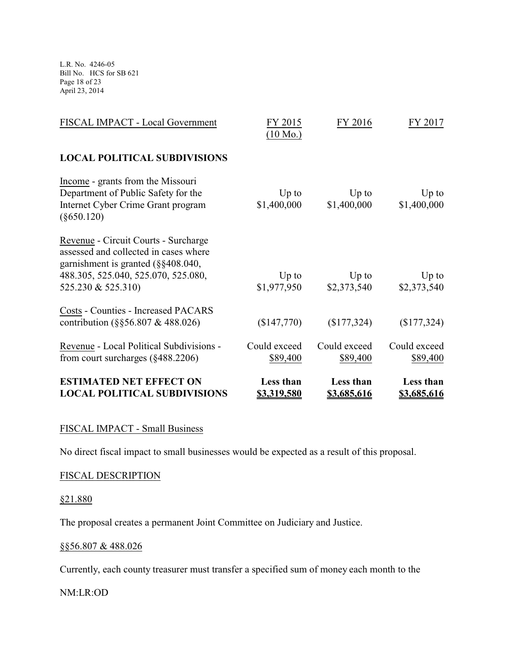L.R. No. 4246-05 Bill No. HCS for SB 621 Page 18 of 23 April 23, 2014

| <b>ESTIMATED NET EFFECT ON</b><br><b>LOCAL POLITICAL SUBDIVISIONS</b>                                                                                                                | Less than<br><u>\$3,319,580</u> | Less than<br><u>\$3,685,616</u> | Less than<br><u>\$3,685,616</u> |
|--------------------------------------------------------------------------------------------------------------------------------------------------------------------------------------|---------------------------------|---------------------------------|---------------------------------|
| Revenue - Local Political Subdivisions -<br>from court surcharges $(\S 488.2206)$                                                                                                    | Could exceed<br>\$89,400        | Could exceed<br>\$89,400        | Could exceed<br>\$89,400        |
| <b>Costs - Counties - Increased PACARS</b><br>contribution $(\S$ §56.807 & 488.026)                                                                                                  | (\$147,770)                     | (\$177,324)                     | (\$177,324)                     |
| Revenue - Circuit Courts - Surcharge<br>assessed and collected in cases where<br>garnishment is granted $(\S$ §408.040,<br>488.305, 525.040, 525.070, 525.080,<br>525.230 & 525.310) | $Up$ to<br>\$1,977,950          | $Up$ to<br>\$2,373,540          | $Up$ to<br>\$2,373,540          |
| Income - grants from the Missouri<br>Department of Public Safety for the<br>Internet Cyber Crime Grant program<br>$(\$650.120)$                                                      | $Up$ to<br>\$1,400,000          | $Up$ to<br>\$1,400,000          | $Up$ to<br>\$1,400,000          |
| <b>LOCAL POLITICAL SUBDIVISIONS</b>                                                                                                                                                  |                                 |                                 |                                 |
| FISCAL IMPACT - Local Government                                                                                                                                                     | FY 2015<br>$(10 \text{ Mo.})$   | FY 2016                         | FY 2017                         |

# FISCAL IMPACT - Small Business

No direct fiscal impact to small businesses would be expected as a result of this proposal.

### FISCAL DESCRIPTION

### §21.880

The proposal creates a permanent Joint Committee on Judiciary and Justice.

### §§56.807 & 488.026

Currently, each county treasurer must transfer a specified sum of money each month to the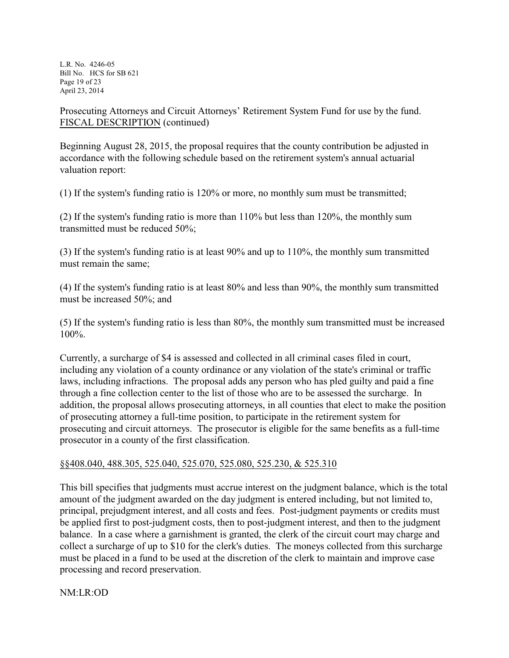L.R. No. 4246-05 Bill No. HCS for SB 621 Page 19 of 23 April 23, 2014

Prosecuting Attorneys and Circuit Attorneys' Retirement System Fund for use by the fund. FISCAL DESCRIPTION (continued)

Beginning August 28, 2015, the proposal requires that the county contribution be adjusted in accordance with the following schedule based on the retirement system's annual actuarial valuation report:

(1) If the system's funding ratio is 120% or more, no monthly sum must be transmitted;

(2) If the system's funding ratio is more than 110% but less than 120%, the monthly sum transmitted must be reduced 50%;

(3) If the system's funding ratio is at least 90% and up to 110%, the monthly sum transmitted must remain the same;

(4) If the system's funding ratio is at least 80% and less than 90%, the monthly sum transmitted must be increased 50%; and

(5) If the system's funding ratio is less than 80%, the monthly sum transmitted must be increased 100%.

Currently, a surcharge of \$4 is assessed and collected in all criminal cases filed in court, including any violation of a county ordinance or any violation of the state's criminal or traffic laws, including infractions. The proposal adds any person who has pled guilty and paid a fine through a fine collection center to the list of those who are to be assessed the surcharge. In addition, the proposal allows prosecuting attorneys, in all counties that elect to make the position of prosecuting attorney a full-time position, to participate in the retirement system for prosecuting and circuit attorneys. The prosecutor is eligible for the same benefits as a full-time prosecutor in a county of the first classification.

# §§408.040, 488.305, 525.040, 525.070, 525.080, 525.230, & 525.310

This bill specifies that judgments must accrue interest on the judgment balance, which is the total amount of the judgment awarded on the day judgment is entered including, but not limited to, principal, prejudgment interest, and all costs and fees. Post-judgment payments or credits must be applied first to post-judgment costs, then to post-judgment interest, and then to the judgment balance. In a case where a garnishment is granted, the clerk of the circuit court may charge and collect a surcharge of up to \$10 for the clerk's duties. The moneys collected from this surcharge must be placed in a fund to be used at the discretion of the clerk to maintain and improve case processing and record preservation.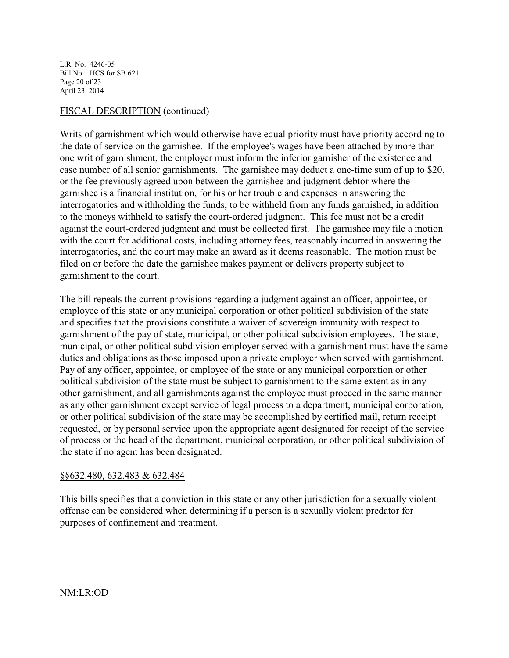L.R. No. 4246-05 Bill No. HCS for SB 621 Page 20 of 23 April 23, 2014

### FISCAL DESCRIPTION (continued)

Writs of garnishment which would otherwise have equal priority must have priority according to the date of service on the garnishee. If the employee's wages have been attached by more than one writ of garnishment, the employer must inform the inferior garnisher of the existence and case number of all senior garnishments. The garnishee may deduct a one-time sum of up to \$20, or the fee previously agreed upon between the garnishee and judgment debtor where the garnishee is a financial institution, for his or her trouble and expenses in answering the interrogatories and withholding the funds, to be withheld from any funds garnished, in addition to the moneys withheld to satisfy the court-ordered judgment. This fee must not be a credit against the court-ordered judgment and must be collected first. The garnishee may file a motion with the court for additional costs, including attorney fees, reasonably incurred in answering the interrogatories, and the court may make an award as it deems reasonable. The motion must be filed on or before the date the garnishee makes payment or delivers property subject to garnishment to the court.

The bill repeals the current provisions regarding a judgment against an officer, appointee, or employee of this state or any municipal corporation or other political subdivision of the state and specifies that the provisions constitute a waiver of sovereign immunity with respect to garnishment of the pay of state, municipal, or other political subdivision employees. The state, municipal, or other political subdivision employer served with a garnishment must have the same duties and obligations as those imposed upon a private employer when served with garnishment. Pay of any officer, appointee, or employee of the state or any municipal corporation or other political subdivision of the state must be subject to garnishment to the same extent as in any other garnishment, and all garnishments against the employee must proceed in the same manner as any other garnishment except service of legal process to a department, municipal corporation, or other political subdivision of the state may be accomplished by certified mail, return receipt requested, or by personal service upon the appropriate agent designated for receipt of the service of process or the head of the department, municipal corporation, or other political subdivision of the state if no agent has been designated.

#### §§632.480, 632.483 & 632.484

This bills specifies that a conviction in this state or any other jurisdiction for a sexually violent offense can be considered when determining if a person is a sexually violent predator for purposes of confinement and treatment.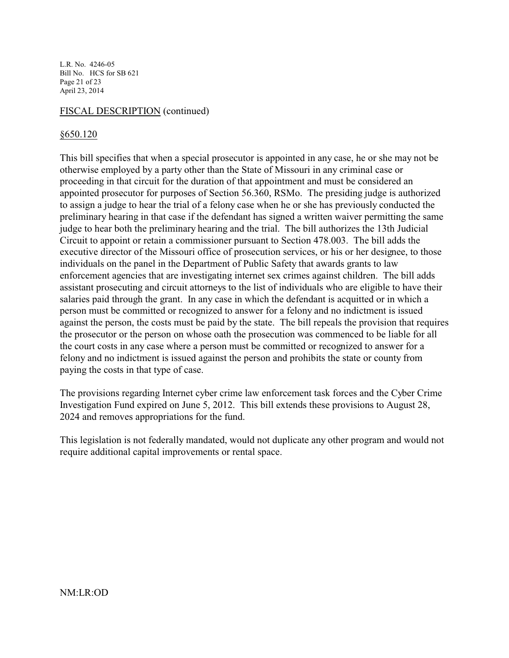L.R. No. 4246-05 Bill No. HCS for SB 621 Page 21 of 23 April 23, 2014

#### FISCAL DESCRIPTION (continued)

#### §650.120

This bill specifies that when a special prosecutor is appointed in any case, he or she may not be otherwise employed by a party other than the State of Missouri in any criminal case or proceeding in that circuit for the duration of that appointment and must be considered an appointed prosecutor for purposes of Section 56.360, RSMo. The presiding judge is authorized to assign a judge to hear the trial of a felony case when he or she has previously conducted the preliminary hearing in that case if the defendant has signed a written waiver permitting the same judge to hear both the preliminary hearing and the trial. The bill authorizes the 13th Judicial Circuit to appoint or retain a commissioner pursuant to Section 478.003. The bill adds the executive director of the Missouri office of prosecution services, or his or her designee, to those individuals on the panel in the Department of Public Safety that awards grants to law enforcement agencies that are investigating internet sex crimes against children. The bill adds assistant prosecuting and circuit attorneys to the list of individuals who are eligible to have their salaries paid through the grant. In any case in which the defendant is acquitted or in which a person must be committed or recognized to answer for a felony and no indictment is issued against the person, the costs must be paid by the state. The bill repeals the provision that requires the prosecutor or the person on whose oath the prosecution was commenced to be liable for all the court costs in any case where a person must be committed or recognized to answer for a felony and no indictment is issued against the person and prohibits the state or county from paying the costs in that type of case.

The provisions regarding Internet cyber crime law enforcement task forces and the Cyber Crime Investigation Fund expired on June 5, 2012. This bill extends these provisions to August 28, 2024 and removes appropriations for the fund.

This legislation is not federally mandated, would not duplicate any other program and would not require additional capital improvements or rental space.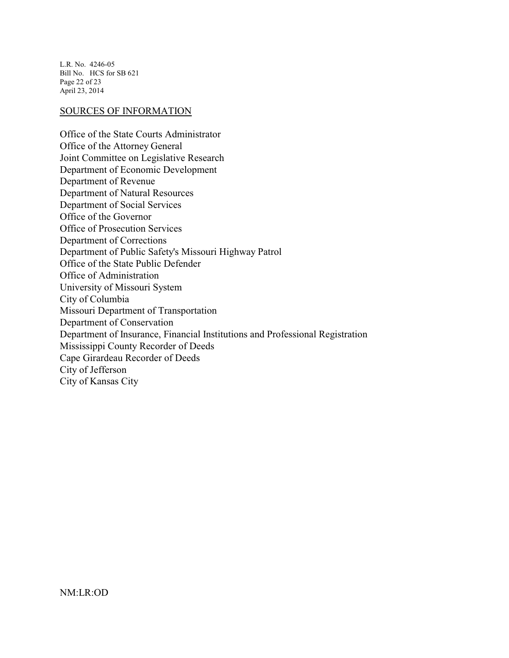L.R. No. 4246-05 Bill No. HCS for SB 621 Page 22 of 23 April 23, 2014

# SOURCES OF INFORMATION

Office of the State Courts Administrator Office of the Attorney General Joint Committee on Legislative Research Department of Economic Development Department of Revenue Department of Natural Resources Department of Social Services Office of the Governor Office of Prosecution Services Department of Corrections Department of Public Safety's Missouri Highway Patrol Office of the State Public Defender Office of Administration University of Missouri System City of Columbia Missouri Department of Transportation Department of Conservation Department of Insurance, Financial Institutions and Professional Registration Mississippi County Recorder of Deeds Cape Girardeau Recorder of Deeds City of Jefferson City of Kansas City